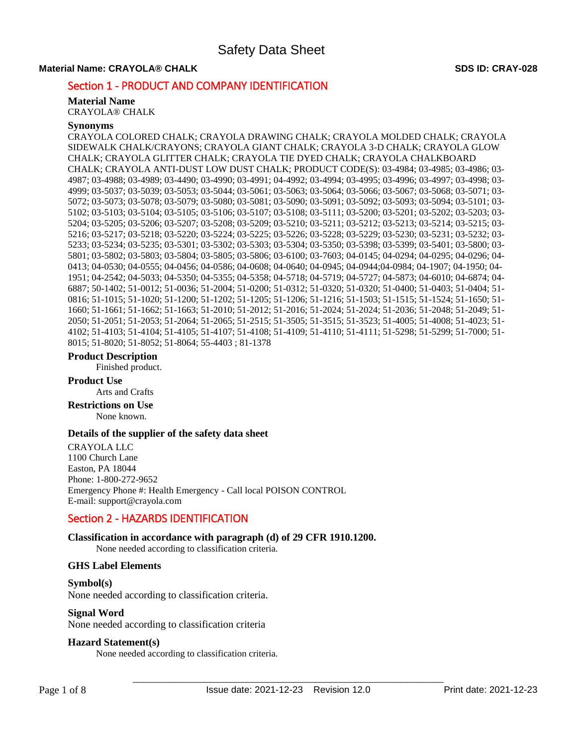# **Material Name: CRAYOLA® CHALK SDS ID: CRAY-028**

# Section 1 - PRODUCT AND COMPANY IDENTIFICATION

### **Material Name**

CRAYOLA® CHALK

# **Synonyms**

CRAYOLA COLORED CHALK; CRAYOLA DRAWING CHALK; CRAYOLA MOLDED CHALK; CRAYOLA SIDEWALK CHALK/CRAYONS; CRAYOLA GIANT CHALK; CRAYOLA 3-D CHALK; CRAYOLA GLOW CHALK; CRAYOLA GLITTER CHALK; CRAYOLA TIE DYED CHALK; CRAYOLA CHALKBOARD CHALK; CRAYOLA ANTI-DUST LOW DUST CHALK; PRODUCT CODE(S): 03-4984; 03-4985; 03-4986; 03- 4987; 03-4988; 03-4989; 03-4490; 03-4990; 03-4991; 04-4992; 03-4994; 03-4995; 03-4996; 03-4997; 03-4998; 03- 4999; 03-5037; 03-5039; 03-5053; 03-5044; 03-5061; 03-5063; 03-5064; 03-5066; 03-5067; 03-5068; 03-5071; 03- 5072; 03-5073; 03-5078; 03-5079; 03-5080; 03-5081; 03-5090; 03-5091; 03-5092; 03-5093; 03-5094; 03-5101; 03- 5102; 03-5103; 03-5104; 03-5105; 03-5106; 03-5107; 03-5108; 03-5111; 03-5200; 03-5201; 03-5202; 03-5203; 03- 5204; 03-5205; 03-5206; 03-5207; 03-5208; 03-5209; 03-5210; 03-5211; 03-5212; 03-5213; 03-5214; 03-5215; 03- 5216; 03-5217; 03-5218; 03-5220; 03-5224; 03-5225; 03-5226; 03-5228; 03-5229; 03-5230; 03-5231; 03-5232; 03- 5233; 03-5234; 03-5235; 03-5301; 03-5302; 03-5303; 03-5304; 03-5350; 03-5398; 03-5399; 03-5401; 03-5800; 03- 5801; 03-5802; 03-5803; 03-5804; 03-5805; 03-5806; 03-6100; 03-7603; 04-0145; 04-0294; 04-0295; 04-0296; 04- 0413; 04-0530; 04-0555; 04-0456; 04-0586; 04-0608; 04-0640; 04-0945; 04-0944;04-0984; 04-1907; 04-1950; 04- 1951; 04-2542; 04-5033; 04-5350; 04-5355; 04-5358; 04-5718; 04-5719; 04-5727; 04-5873; 04-6010; 04-6874; 04- 6887; 50-1402; 51-0012; 51-0036; 51-2004; 51-0200; 51-0312; 51-0320; 51-0320; 51-0400; 51-0403; 51-0404; 51- 0816; 51-1015; 51-1020; 51-1200; 51-1202; 51-1205; 51-1206; 51-1216; 51-1503; 51-1515; 51-1524; 51-1650; 51- 1660; 51-1661; 51-1662; 51-1663; 51-2010; 51-2012; 51-2016; 51-2024; 51-2024; 51-2036; 51-2048; 51-2049; 51- 2050; 51-2051; 51-2053; 51-2064; 51-2065; 51-2515; 51-3505; 51-3515; 51-3523; 51-4005; 51-4008; 51-4023; 51- 4102; 51-4103; 51-4104; 51-4105; 51-4107; 51-4108; 51-4109; 51-4110; 51-4111; 51-5298; 51-5299; 51-7000; 51- 8015; 51-8020; 51-8052; 51-8064; 55-4403 ; 81-1378

#### **Product Description**

Finished product.

# **Product Use**

Arts and Crafts

#### **Restrictions on Use** None known.

# **Details of the supplier of the safety data sheet**

CRAYOLA LLC 1100 Church Lane Easton, PA 18044 Phone: 1-800-272-9652 Emergency Phone #: Health Emergency - Call local POISON CONTROL E-mail: support@crayola.com

# Section 2 - HAZARDS IDENTIFICATION

# **Classification in accordance with paragraph (d) of 29 CFR 1910.1200.**

None needed according to classification criteria.

# **GHS Label Elements**

**Symbol(s)**  None needed according to classification criteria.

# **Signal Word**

None needed according to classification criteria

# **Hazard Statement(s)**

None needed according to classification criteria.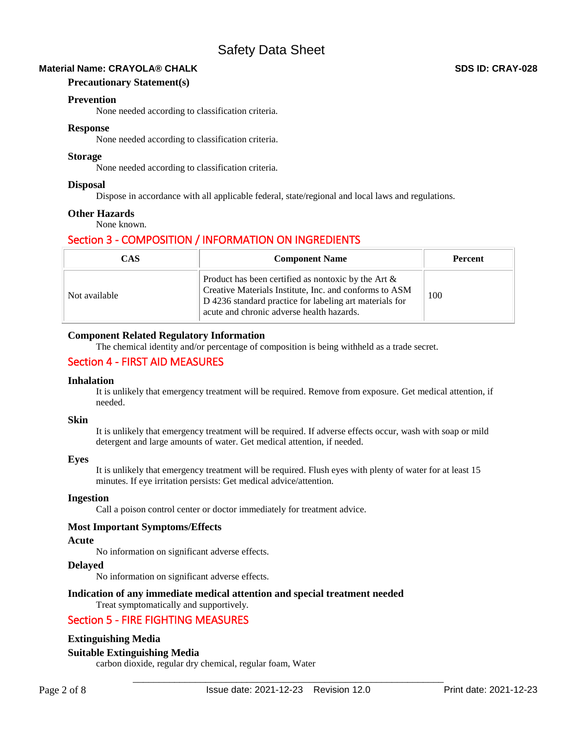# **Material Name: CRAYOLA® CHALK SDS ID: CRAY-028**

### **Precautionary Statement(s)**

### **Prevention**

None needed according to classification criteria.

#### **Response**

None needed according to classification criteria.

### **Storage**

None needed according to classification criteria.

# **Disposal**

Dispose in accordance with all applicable federal, state/regional and local laws and regulations.

# **Other Hazards**

None known.

# Section 3 - COMPOSITION / INFORMATION ON INGREDIENTS

| CAS           | <b>Component Name</b>                                                                                                                                                                                                    | <b>Percent</b> |
|---------------|--------------------------------------------------------------------------------------------------------------------------------------------------------------------------------------------------------------------------|----------------|
| Not available | Product has been certified as nontoxic by the Art $\&$<br>Creative Materials Institute, Inc. and conforms to ASM<br>D 4236 standard practice for labeling art materials for<br>acute and chronic adverse health hazards. | 100            |

# **Component Related Regulatory Information**

The chemical identity and/or percentage of composition is being withheld as a trade secret.

# Section 4 - FIRST AID MEASURES

#### **Inhalation**

It is unlikely that emergency treatment will be required. Remove from exposure. Get medical attention, if needed.

#### **Skin**

It is unlikely that emergency treatment will be required. If adverse effects occur, wash with soap or mild detergent and large amounts of water. Get medical attention, if needed.

#### **Eyes**

It is unlikely that emergency treatment will be required. Flush eyes with plenty of water for at least 15 minutes. If eye irritation persists: Get medical advice/attention.

#### **Ingestion**

Call a poison control center or doctor immediately for treatment advice.

#### **Most Important Symptoms/Effects**

#### **Acute**

No information on significant adverse effects.

### **Delayed**

No information on significant adverse effects.

#### **Indication of any immediate medical attention and special treatment needed**  Treat symptomatically and supportively.

# Section 5 - FIRE FIGHTING MEASURES

# **Extinguishing Media**

# **Suitable Extinguishing Media**

carbon dioxide, regular dry chemical, regular foam, Water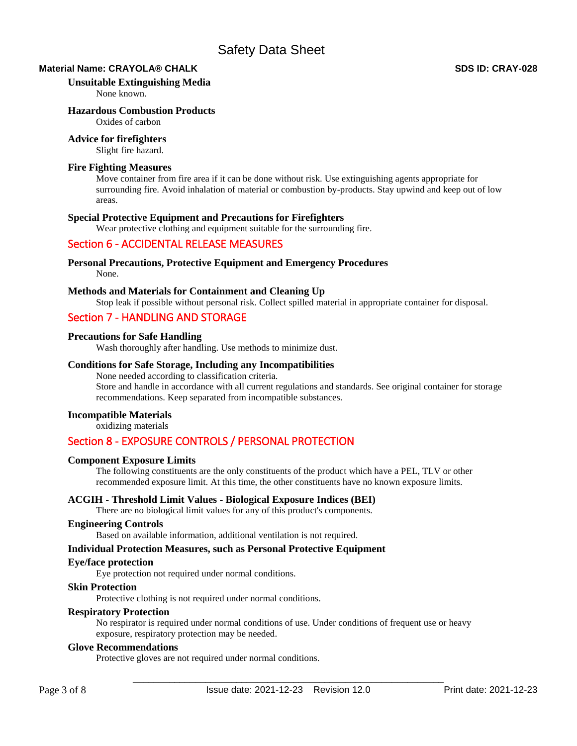# **Material Name: CRAYOLA® CHALK SDS ID: CRAY-028**

### **Unsuitable Extinguishing Media**

None known.

# **Hazardous Combustion Products**

Oxides of carbon

# **Advice for firefighters**

Slight fire hazard.

# **Fire Fighting Measures**

Move container from fire area if it can be done without risk. Use extinguishing agents appropriate for surrounding fire. Avoid inhalation of material or combustion by-products. Stay upwind and keep out of low areas.

# **Special Protective Equipment and Precautions for Firefighters**

Wear protective clothing and equipment suitable for the surrounding fire.

# Section 6 - ACCIDENTAL RELEASE MEASURES

# **Personal Precautions, Protective Equipment and Emergency Procedures**

None.

# **Methods and Materials for Containment and Cleaning Up**

Stop leak if possible without personal risk. Collect spilled material in appropriate container for disposal.

# Section 7 - HANDLING AND STORAGE

# **Precautions for Safe Handling**

Wash thoroughly after handling. Use methods to minimize dust.

# **Conditions for Safe Storage, Including any Incompatibilities**

None needed according to classification criteria. Store and handle in accordance with all current regulations and standards. See original container for storage recommendations. Keep separated from incompatible substances.

# **Incompatible Materials**

oxidizing materials

# Section 8 - EXPOSURE CONTROLS / PERSONAL PROTECTION

# **Component Exposure Limits**

The following constituents are the only constituents of the product which have a PEL, TLV or other recommended exposure limit. At this time, the other constituents have no known exposure limits.

# **ACGIH - Threshold Limit Values - Biological Exposure Indices (BEI)**

There are no biological limit values for any of this product's components.

# **Engineering Controls**

Based on available information, additional ventilation is not required.

# **Individual Protection Measures, such as Personal Protective Equipment**

#### **Eye/face protection**

Eye protection not required under normal conditions.

# **Skin Protection**

Protective clothing is not required under normal conditions.

# **Respiratory Protection**

No respirator is required under normal conditions of use. Under conditions of frequent use or heavy exposure, respiratory protection may be needed.

### **Glove Recommendations**

Protective gloves are not required under normal conditions.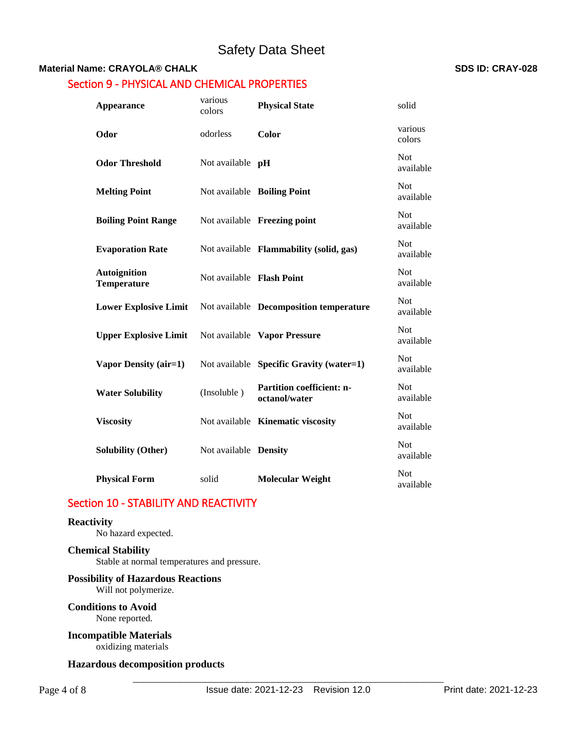# **Material Name: CRAYOLA® CHALK SDS ID: CRAY-028**

# Section 9 - PHYSICAL AND CHEMICAL PROPERTIES

| <b>Appearance</b>                         | various<br>colors            | <b>Physical State</b>                             | solid                   |
|-------------------------------------------|------------------------------|---------------------------------------------------|-------------------------|
| Odor                                      | odorless                     | Color                                             | various<br>colors       |
| <b>Odor Threshold</b>                     | Not available <b>pH</b>      |                                                   | <b>Not</b><br>available |
| <b>Melting Point</b>                      |                              | Not available Boiling Point                       | <b>Not</b><br>available |
| <b>Boiling Point Range</b>                |                              | Not available Freezing point                      | <b>Not</b><br>available |
| <b>Evaporation Rate</b>                   |                              | Not available Flammability (solid, gas)           | <b>Not</b><br>available |
| <b>Autoignition</b><br><b>Temperature</b> | Not available Flash Point    |                                                   | <b>Not</b><br>available |
| <b>Lower Explosive Limit</b>              |                              | Not available Decomposition temperature           | <b>Not</b><br>available |
| <b>Upper Explosive Limit</b>              |                              | Not available Vapor Pressure                      | <b>Not</b><br>available |
| Vapor Density (air=1)                     |                              | Not available Specific Gravity (water=1)          | <b>Not</b><br>available |
| <b>Water Solubility</b>                   | (Insoluble)                  | <b>Partition coefficient: n-</b><br>octanol/water | <b>Not</b><br>available |
| <b>Viscosity</b>                          |                              | Not available Kinematic viscosity                 | <b>Not</b><br>available |
| <b>Solubility (Other)</b>                 | Not available <b>Density</b> |                                                   | <b>Not</b><br>available |
| <b>Physical Form</b>                      | solid                        | <b>Molecular Weight</b>                           | <b>Not</b><br>available |

# Section 10 - STABILITY AND REACTIVITY

#### **Reactivity**

No hazard expected.

# **Chemical Stability**

Stable at normal temperatures and pressure.

# **Possibility of Hazardous Reactions** Will not polymerize.

**Conditions to Avoid** None reported.

# **Incompatible Materials**

oxidizing materials

# **Hazardous decomposition products**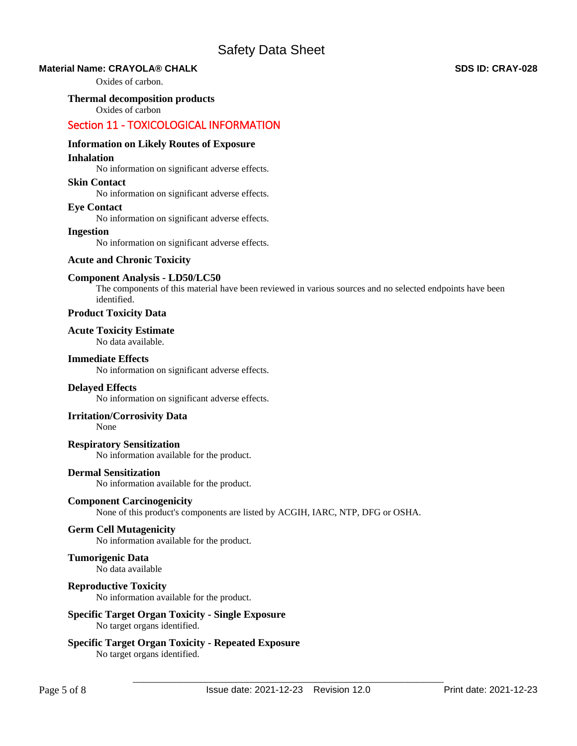# **Material Name: CRAYOLA® CHALK SDS ID: CRAY-028**

Oxides of carbon.

**Thermal decomposition products** 

Oxides of carbon

# Section 11 - TOXICOLOGICAL INFORMATION

# **Information on Likely Routes of Exposure**

#### **Inhalation**

No information on significant adverse effects.

# **Skin Contact**

No information on significant adverse effects.

### **Eye Contact**

No information on significant adverse effects.

#### **Ingestion**

No information on significant adverse effects.

# **Acute and Chronic Toxicity**

### **Component Analysis - LD50/LC50**

The components of this material have been reviewed in various sources and no selected endpoints have been identified.

# **Product Toxicity Data**

#### **Acute Toxicity Estimate**  No data available.

## **Immediate Effects**

No information on significant adverse effects.

# **Delayed Effects**

No information on significant adverse effects.

# **Irritation/Corrosivity Data**

None

# **Respiratory Sensitization**

No information available for the product.

# **Dermal Sensitization**

No information available for the product.

# **Component Carcinogenicity**

None of this product's components are listed by ACGIH, IARC, NTP, DFG or OSHA.

# **Germ Cell Mutagenicity**

No information available for the product.

# **Tumorigenic Data**

No data available

# **Reproductive Toxicity**

No information available for the product.

### **Specific Target Organ Toxicity - Single Exposure**  No target organs identified.

## **Specific Target Organ Toxicity - Repeated Exposure**  No target organs identified.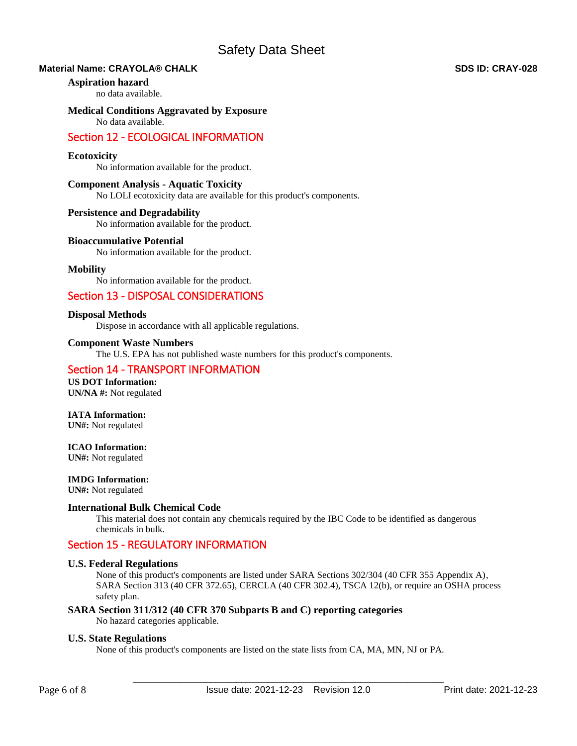# **Material Name: CRAYOLA® CHALK SDS ID: CRAY-028**

#### **Aspiration hazard**

no data available.

# **Medical Conditions Aggravated by Exposure**

No data available.

# Section 12 - ECOLOGICAL INFORMATION

### **Ecotoxicity**

No information available for the product.

#### **Component Analysis - Aquatic Toxicity**

No LOLI ecotoxicity data are available for this product's components.

#### **Persistence and Degradability**

No information available for the product.

### **Bioaccumulative Potential**

No information available for the product.

# **Mobility**

No information available for the product.

# Section 13 - DISPOSAL CONSIDERATIONS

### **Disposal Methods**

Dispose in accordance with all applicable regulations.

#### **Component Waste Numbers**

The U.S. EPA has not published waste numbers for this product's components.

# Section 14 - TRANSPORT INFORMATION

**US DOT Information: UN/NA #:** Not regulated

# **IATA Information:**

**UN#:** Not regulated

# **ICAO Information:**

**UN#:** Not regulated

#### **IMDG Information:**

**UN#:** Not regulated

### **International Bulk Chemical Code**

This material does not contain any chemicals required by the IBC Code to be identified as dangerous chemicals in bulk.

# Section 15 - REGULATORY INFORMATION

### **U.S. Federal Regulations**

None of this product's components are listed under SARA Sections 302/304 (40 CFR 355 Appendix A), SARA Section 313 (40 CFR 372.65), CERCLA (40 CFR 302.4), TSCA 12(b), or require an OSHA process safety plan.

# **SARA Section 311/312 (40 CFR 370 Subparts B and C) reporting categories**

No hazard categories applicable.

#### **U.S. State Regulations**

None of this product's components are listed on the state lists from CA, MA, MN, NJ or PA.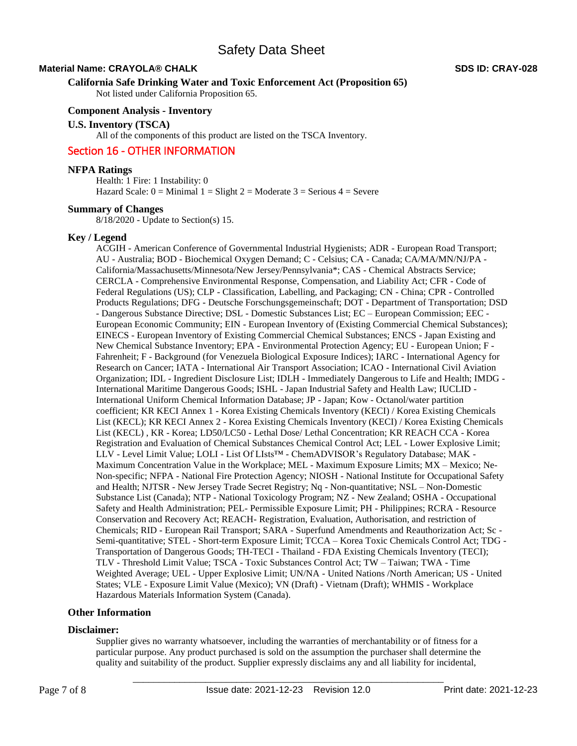# **Material Name: CRAYOLA® CHALK SDS ID: CRAY-028**

#### **California Safe Drinking Water and Toxic Enforcement Act (Proposition 65)**

Not listed under California Proposition 65.

# **Component Analysis - Inventory**

**U.S. Inventory (TSCA)** 

All of the components of this product are listed on the TSCA Inventory.

# Section 16 - OTHER INFORMATION

# **NFPA Ratings**

Health: 1 Fire: 1 Instability: 0 Hazard Scale:  $0 =$  Minimal  $1 =$  Slight  $2 =$  Moderate  $3 =$  Serious  $4 =$  Severe

# **Summary of Changes**

8/18/2020 - Update to Section(s) 15.

#### **Key / Legend**

ACGIH - American Conference of Governmental Industrial Hygienists; ADR - European Road Transport; AU - Australia; BOD - Biochemical Oxygen Demand; C - Celsius; CA - Canada; CA/MA/MN/NJ/PA - California/Massachusetts/Minnesota/New Jersey/Pennsylvania\*; CAS - Chemical Abstracts Service; CERCLA - Comprehensive Environmental Response, Compensation, and Liability Act; CFR - Code of Federal Regulations (US); CLP - Classification, Labelling, and Packaging; CN - China; CPR - Controlled Products Regulations; DFG - Deutsche Forschungsgemeinschaft; DOT - Department of Transportation; DSD - Dangerous Substance Directive; DSL - Domestic Substances List; EC – European Commission; EEC - European Economic Community; EIN - European Inventory of (Existing Commercial Chemical Substances); EINECS - European Inventory of Existing Commercial Chemical Substances; ENCS - Japan Existing and New Chemical Substance Inventory; EPA - Environmental Protection Agency; EU - European Union; F - Fahrenheit; F - Background (for Venezuela Biological Exposure Indices); IARC - International Agency for Research on Cancer; IATA - International Air Transport Association; ICAO - International Civil Aviation Organization; IDL - Ingredient Disclosure List; IDLH - Immediately Dangerous to Life and Health; IMDG - International Maritime Dangerous Goods; ISHL - Japan Industrial Safety and Health Law; IUCLID - International Uniform Chemical Information Database; JP - Japan; Kow - Octanol/water partition coefficient; KR KECI Annex 1 - Korea Existing Chemicals Inventory (KECI) / Korea Existing Chemicals List (KECL); KR KECI Annex 2 - Korea Existing Chemicals Inventory (KECI) / Korea Existing Chemicals List (KECL) , KR - Korea; LD50/LC50 - Lethal Dose/ Lethal Concentration; KR REACH CCA - Korea Registration and Evaluation of Chemical Substances Chemical Control Act; LEL - Lower Explosive Limit; LLV - Level Limit Value; LOLI - List Of LIsts™ - ChemADVISOR's Regulatory Database; MAK - Maximum Concentration Value in the Workplace; MEL - Maximum Exposure Limits; MX – Mexico; Ne-Non-specific; NFPA - National Fire Protection Agency; NIOSH - National Institute for Occupational Safety and Health; NJTSR - New Jersey Trade Secret Registry; Nq - Non-quantitative; NSL – Non-Domestic Substance List (Canada); NTP - National Toxicology Program; NZ - New Zealand; OSHA - Occupational Safety and Health Administration; PEL- Permissible Exposure Limit; PH - Philippines; RCRA - Resource Conservation and Recovery Act; REACH- Registration, Evaluation, Authorisation, and restriction of Chemicals; RID - European Rail Transport; SARA - Superfund Amendments and Reauthorization Act; Sc - Semi-quantitative; STEL - Short-term Exposure Limit; TCCA – Korea Toxic Chemicals Control Act; TDG - Transportation of Dangerous Goods; TH-TECI - Thailand - FDA Existing Chemicals Inventory (TECI); TLV - Threshold Limit Value; TSCA - Toxic Substances Control Act; TW – Taiwan; TWA - Time Weighted Average; UEL - Upper Explosive Limit; UN/NA - United Nations /North American; US - United States; VLE - Exposure Limit Value (Mexico); VN (Draft) - Vietnam (Draft); WHMIS - Workplace Hazardous Materials Information System (Canada).

# **Other Information**

#### **Disclaimer:**

Supplier gives no warranty whatsoever, including the warranties of merchantability or of fitness for a particular purpose. Any product purchased is sold on the assumption the purchaser shall determine the quality and suitability of the product. Supplier expressly disclaims any and all liability for incidental,